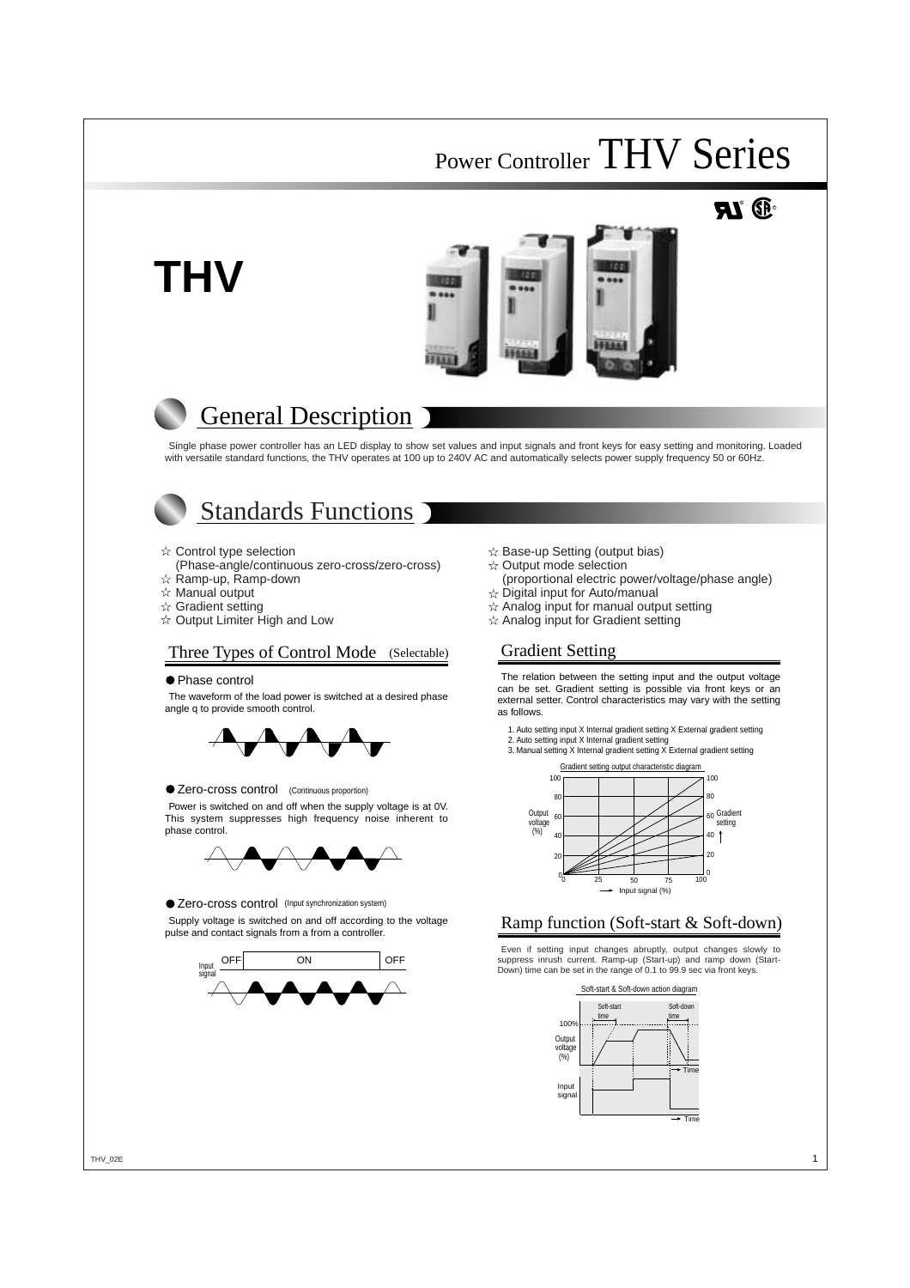# Power Controller THV Series

 $^{\circ}$  RD.

**THV**





## General Description

Single phase power controller has an LED display to show set values and input signals and front keys for easy setting and monitoring. Loaded with versatile standard functions, the THV operates at 100 up to 240V AC and automatically selects power supply frequency 50 or 60Hz.



#### $\hat{\mathbf{x}}$  Control type selection

- (Phase-angle/continuous zero-cross/zero-cross)
- $\hat{x}$  Ramp-up, Ramp-down
- $\hat{x}$  Manual output  $\mathbf{\hat{x}}$  Gradient setting
- 
- $\hat{x}$  Output Limiter High and Low

### Three Types of Control Mode (Selectable)

#### ● Phase control

The waveform of the load power is switched at a desired phase angle q to provide smooth control.



#### ● Zero-cross control (Continuous proportion)

Power is switched on and off when the supply voltage is at 0V. This system suppresses high frequency noise inherent to phase control.



Zero-cross control (Input synchronization system)

Supply voltage is switched on and off according to the voltage pulse and contact signals from a from a controller.



- $\hat{\mathbf{x}}$  Base-up Setting (output bias)
- $\hat{x}$  Output mode selection
- (proportional electric power/voltage/phase angle)
- $\chi$  Digital input for Auto/manual
- $\hat{x}$  Analog input for manual output setting
- $\hat{x}$  Analog input for Gradient setting

### Gradient Setting

The relation between the setting input and the output voltage can be set. Gradient setting is possible via front keys or an external setter. Control characteristics may vary with the setting as follows.

- 1. Auto setting input X Internal gradient setting X External gradient setting
- 2. Auto setting input X Internal gradient setting
- 3. Manual setting X Internal gradient setting X External gradient setting



### Ramp function (Soft-start & Soft-down)

Even if setting input changes abruptly, output changes slowly to suppress inrush current. Ramp-up (Start-up) and ramp down (Start-Down) time can be set in the range of 0.1 to 99.9 sec via front keys.

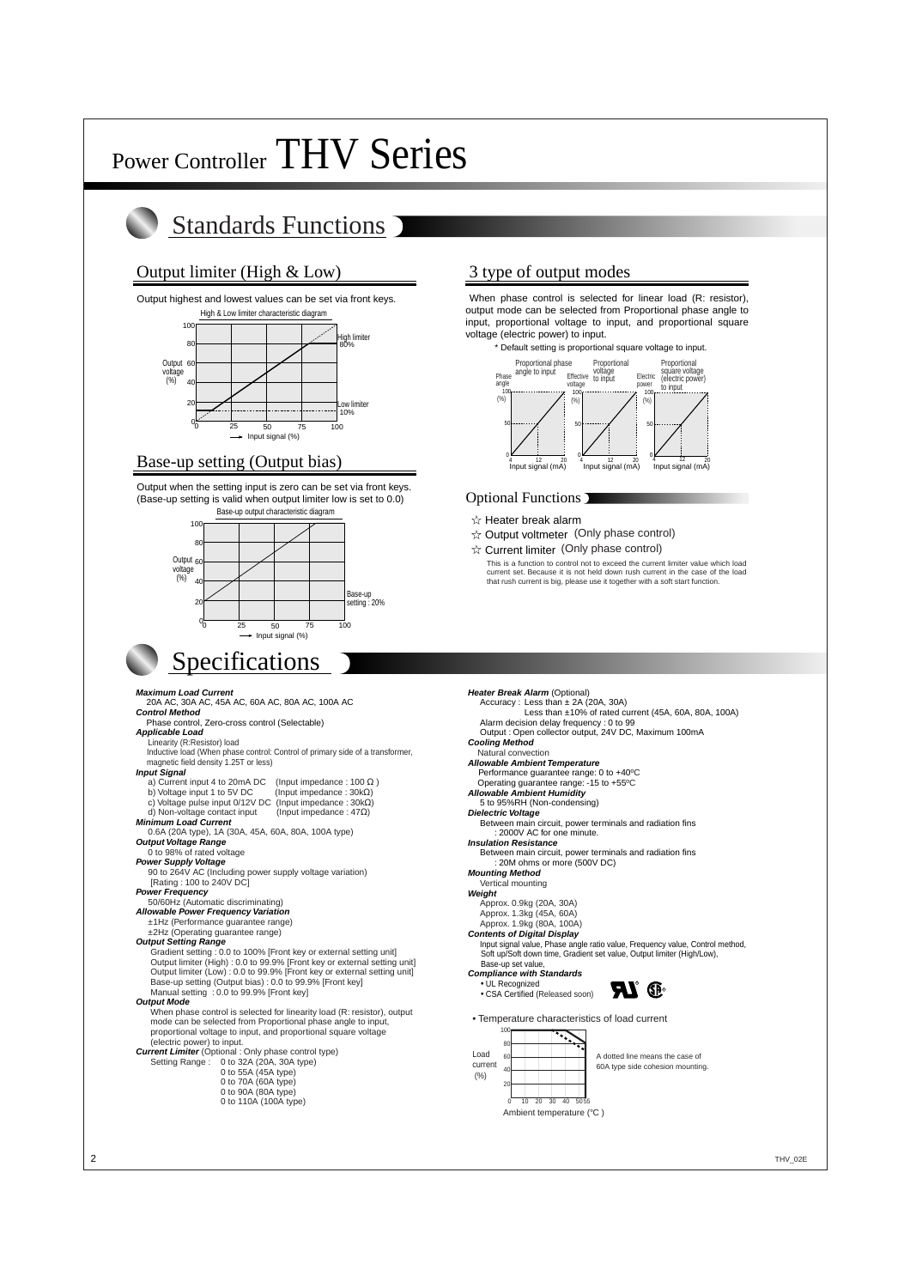

## Standards Functions

### Output limiter (High & Low)

#### Output highest and lowest values can be set via front keys.



## Base-up setting (Output bias)

Output when the setting input is zero can be set via front keys. (Base-up setting is valid when output limiter low is set to 0.0) Base-up output characteristic diagram



## Specifications

#### **Maximum Load Current**

20A AC, 30A AC, 45A AC, 60A AC, 80A AC, 100A AC

#### **Control Method**

Phase control, Zero-cross control (Selectable) **Applicable Load**

#### Linearity (R:Resistor) load

 Inductive load (When phase control: Control of primary side of a transformer, magnetic field density 1.25T or less)

#### **Input Signal**

- a) Current input 4 to 20mA DC (Input impedance : 100 Ω )
- b) Voltage input 1 to 5V DC (Input impedance : 30kΩ)
- c) Voltage pulse input 0/12V DC (Input impedance : 30kΩ)<br>d) Non-voltage contact input (Input impedance : 47Ω) d) Non-voltage contact input
- **Minimum Load Current**

0.6A (20A type), 1A (30A, 45A, 60A, 80A, 100A type)

#### **Output Voltage Range** 0 to 98% of rated voltage

**Power Supply Voltage**

90 to 264V AC (Including power supply voltage variation)

[Rating : 100 to 240V DC]

#### **Power Frequency**

50/60Hz (Automatic discriminating)

#### **Allowable Power Frequency Variation**

±1Hz (Performance guarantee range) ±2Hz (Operating guarantee range)

#### **Output Setting Range**

Gradient setting : 0.0 to 100% [Front key or external setting unit] Output limiter (High) : 0.0 to 99.9% [Front key or external setting unit] Output limiter (Low) : 0.0 to 99.9% [Front key or external setting unit] Base-up setting (Output bias) : 0.0 to 99.9% [Front key] Manual setting : 0.0 to 99.9% [Front key]

#### **Output Mode**

When phase control is selected for linearity load (R: resistor), output mode can be selected from Proportional phase angle to input, proportional voltage to input, and proportional square voltage (electric power) to input.

**Current Limiter** (Optional : Only phase control type)

- Setting Range : 0 to 32A (20A, 30A type) 0 to 55A (45A type)
	- 0 to 70A (60A type)
	- 0 to 90A (80A type)
	- 0 to 110A (100A type)

### 3 type of output modes

When phase control is selected for linear load (R: resistor), output mode can be selected from Proportional phase angle to input, proportional voltage to input, and proportional square voltage (electric power) to input.

\* Default setting is proportional square voltage to input.



### **Optional Functions**

- $\forall$  Heater break alarm
- $\frac{1}{\sqrt{2}}$  Output voltmeter (Only phase control)
- $\hat{\mathcal{K}}$  Current limiter (Only phase control)

This is a function to control not to exceed the current limiter value which load current set. Because it is not held down rush current in the case of the load that rush current is big, please use it together with a soft start function.



• Temperature characteristics of load current

|                | 100 <sub>1</sub> |    |    |    |                   |      |   |
|----------------|------------------|----|----|----|-------------------|------|---|
|                |                  |    |    |    |                   |      |   |
|                | 80               |    |    |    |                   |      |   |
| Load           | 60               |    |    |    |                   |      |   |
| current<br>(%) | 40               |    |    |    |                   |      |   |
|                | 20               |    |    |    |                   |      |   |
|                |                  |    |    |    |                   |      |   |
|                | 0                | 10 | 20 | 30 | 40                | 5055 |   |
|                |                  |    |    |    | <b>CONTRACTOR</b> |      | ٠ |

A dotted line means the case of 60A type side cohesion mounting.

Ambient temperature (°C )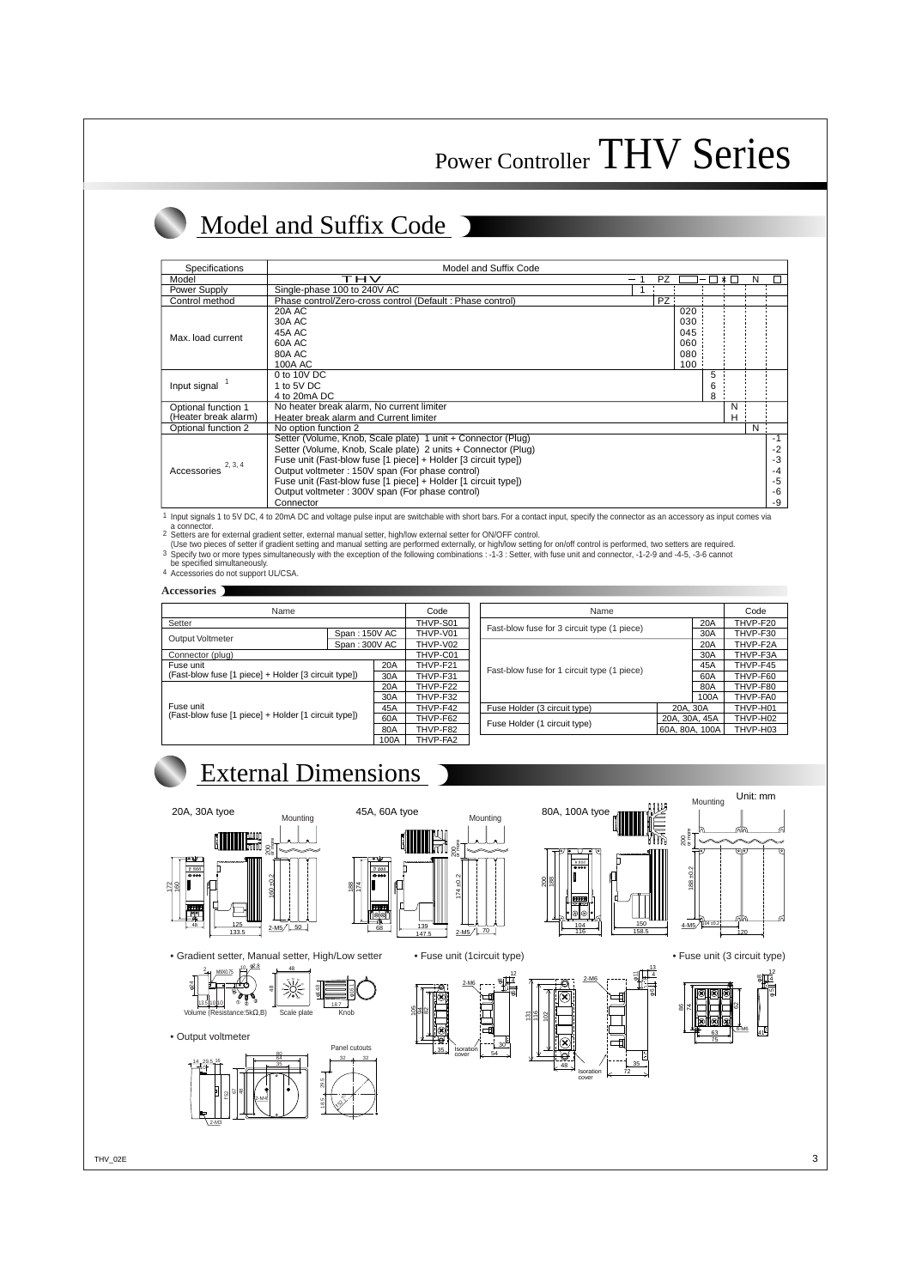## Model and Suffix Code

| Specifications         | Model and Suffix Code                                          |   |     |     |   |   |   |      |
|------------------------|----------------------------------------------------------------|---|-----|-----|---|---|---|------|
| Model                  | THV                                                            | — | PZ  |     | - | ∗ | N |      |
| Power Supply           | Single-phase 100 to 240V AC                                    |   |     |     |   |   |   |      |
| Control method         | Phase control/Zero-cross control (Default: Phase control)      |   | PZ: |     |   |   |   |      |
|                        | 20A AC                                                         |   |     | 020 |   |   |   |      |
| Max. load current      | 30A AC                                                         |   |     | 030 |   |   |   |      |
|                        | 45A AC                                                         |   |     | 045 |   |   |   |      |
|                        | 60A AC                                                         |   |     | 060 |   |   |   |      |
|                        | 80A AC                                                         |   |     | 080 |   |   |   |      |
|                        | 100A AC                                                        |   |     | 100 |   |   |   |      |
| Input signal           | 0 to 10V DC                                                    |   |     |     | 5 |   |   |      |
|                        | 1 to 5V DC                                                     |   |     |     | 6 |   |   |      |
|                        | 4 to 20mA DC                                                   |   |     |     | 8 |   |   |      |
| Optional function 1    | No heater break alarm, No current limiter                      |   | N   |     |   |   |   |      |
| (Heater break alarm)   | н<br>Heater break alarm and Current limiter                    |   |     |     |   |   |   |      |
| Optional function 2    | N<br>No option function 2                                      |   |     |     |   |   |   |      |
|                        | Setter (Volume, Knob, Scale plate) 1 unit + Connector (Plug)   |   |     |     |   |   |   | -1   |
| 2, 3, 4<br>Accessories | Setter (Volume, Knob, Scale plate) 2 units + Connector (Plug)  |   |     |     |   |   |   | $-2$ |
|                        | Fuse unit (Fast-blow fuse [1 piece] + Holder [3 circuit type]) |   |     |     |   |   |   | $-3$ |
|                        | Output voltmeter: 150V span (For phase control)                |   |     |     |   |   |   | $-4$ |
|                        | Fuse unit (Fast-blow fuse [1 piece] + Holder [1 circuit type]) |   |     |     |   |   |   | -5   |
|                        | Output voltmeter: 300V span (For phase control)                |   |     |     |   |   |   | -6   |
|                        | Connector                                                      |   |     |     |   |   |   | -9   |

1 Input signals 1 to 5V DC, 4 to 20mA DC and voltage pulse input are switchable with short bars. For a contact input, specify the connector as an accessory as input comes via a connector.

2 Setters are for external gradient setter, external manual setter, high/low external setter for ON/OFF control.

Use two pieces of setter if gradient setting and manual setting are performed externally, or high/low setting for on/off control is performed, two setters are required.<br>3 Specify two or more types simultaneously with the e

4 Accessories do not support UL/CSA.

#### **Accessories**

| Name                                                 | Code          |          |          |  |  |
|------------------------------------------------------|---------------|----------|----------|--|--|
| Setter                                               | THVP-S01      |          |          |  |  |
| <b>Output Voltmeter</b>                              | Span: 150V AC |          | THVP-V01 |  |  |
|                                                      | Span: 300V AC | THVP-V02 |          |  |  |
| Connector (plug)                                     | THVP-C01      |          |          |  |  |
| Fuse unit                                            |               |          | THVP-F21 |  |  |
| (Fast-blow fuse [1 piece] + Holder [3 circuit type]) |               |          | THVP-F31 |  |  |
|                                                      | 20A           | THVP-F22 |          |  |  |
|                                                      |               | 30A      | THVP-F32 |  |  |
| Fuse unit                                            |               | 45A      | THVP-F42 |  |  |
| (Fast-blow fuse [1 piece] + Holder [1 circuit type]) |               | 60A      | THVP-F62 |  |  |
|                                                      |               | 80A      | THVP-F82 |  |  |
|                                                      |               | 100A     | THVP-FA2 |  |  |

| Name                                        | Code           |          |                      |  |
|---------------------------------------------|----------------|----------|----------------------|--|
| Fast-blow fuse for 3 circuit type (1 piece) |                |          | THVP-F20             |  |
|                                             |                |          | THVP-F30             |  |
|                                             |                | 20A      | THVP-F2A             |  |
|                                             |                | 30A      | THVP-F3A             |  |
| Fast-blow fuse for 1 circuit type (1 piece) |                | 45A      | THVP-F45             |  |
|                                             |                | 60A      | THVP-F60             |  |
|                                             |                | 80A      | THVP-F80             |  |
|                                             |                | 100A     | THVP-FA0             |  |
| Fuse Holder (3 circuit type)                |                | 20A. 30A | THVP-H01             |  |
| Fuse Holder (1 circuit type)                | 20A, 30A, 45A  |          | THVP-H <sub>02</sub> |  |
|                                             | 60A, 80A, 100A |          | THVP-H03             |  |
|                                             |                |          |                      |  |

## External Dimensions

18.5  $\lambda$ 52

0



2-M3